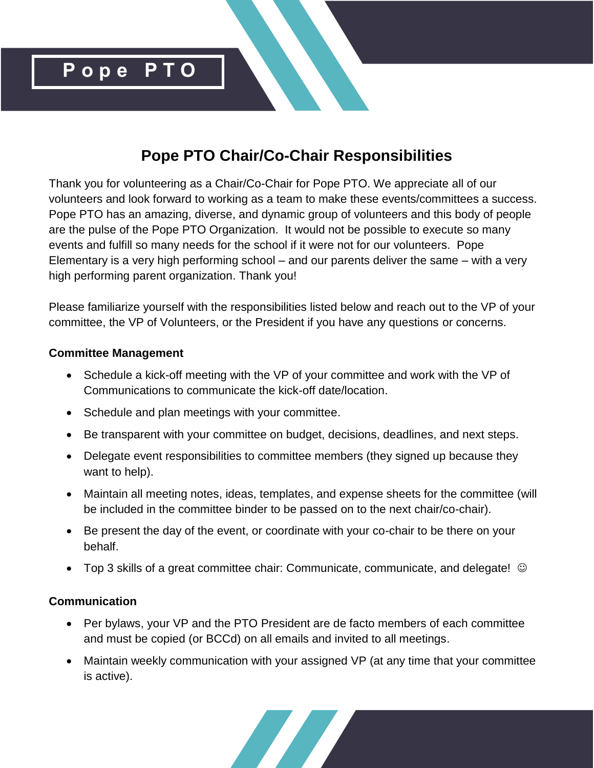

# **Pope PTO Chair/Co-Chair Responsibilities**

Thank you for volunteering as a Chair/Co-Chair for Pope PTO. We appreciate all of our volunteers and look forward to working as a team to make these events/committees a success. Pope PTO has an amazing, diverse, and dynamic group of volunteers and this body of people are the pulse of the Pope PTO Organization. It would not be possible to execute so many events and fulfill so many needs for the school if it were not for our volunteers. Pope Elementary is a very high performing school – and our parents deliver the same – with a very high performing parent organization. Thank you!

Please familiarize yourself with the responsibilities listed below and reach out to the VP of your committee, the VP of Volunteers, or the President if you have any questions or concerns.

### **Committee Management**

- Schedule a kick-off meeting with the VP of your committee and work with the VP of Communications to communicate the kick-off date/location.
- Schedule and plan meetings with your committee.
- Be transparent with your committee on budget, decisions, deadlines, and next steps.
- Delegate event responsibilities to committee members (they signed up because they want to help).
- Maintain all meeting notes, ideas, templates, and expense sheets for the committee (will be included in the committee binder to be passed on to the next chair/co-chair).
- Be present the day of the event, or coordinate with your co-chair to be there on your behalf.
- Top 3 skills of a great committee chair: Communicate, communicate, and delegate! ©

## **Communication**

- Per bylaws, your VP and the PTO President are de facto members of each committee and must be copied (or BCCd) on all emails and invited to all meetings.
- Maintain weekly communication with your assigned VP (at any time that your committee is active).